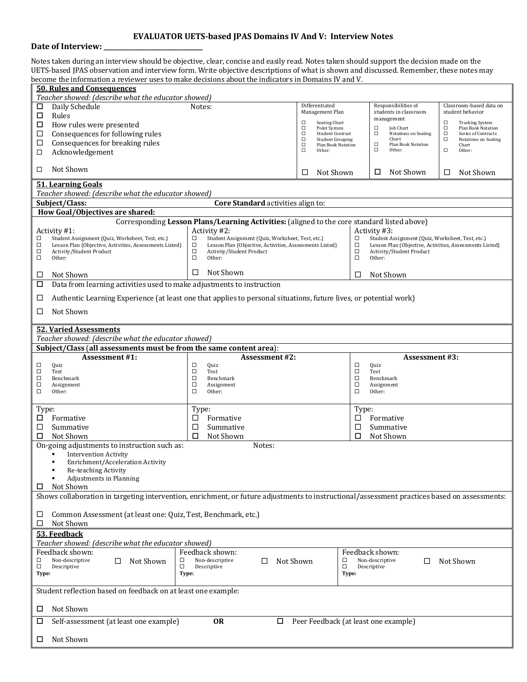## **EVALUATOR UETS-based JPAS Domains IV And V: Interview Notes**

## **Date of Interview:**

Notes taken during an interview should be objective, clear, concise and easily read. Notes taken should support the decision made on the UETS-based JPAS observation and interview form. Write objective descriptions of what is shown and discussed. Remember, these notes may become the information a reviewer uses to make decisions about the indicators in Domains IV and V.

| <b>50. Rules and Consequences</b><br>Teacher showed: (describe what the educator showed)         |                                                                                                                                              |                                                                                                                       |                                                                   |                                                                   |                                                                       |                                                                  |  |  |
|--------------------------------------------------------------------------------------------------|----------------------------------------------------------------------------------------------------------------------------------------------|-----------------------------------------------------------------------------------------------------------------------|-------------------------------------------------------------------|-------------------------------------------------------------------|-----------------------------------------------------------------------|------------------------------------------------------------------|--|--|
| □                                                                                                | Daily Schedule                                                                                                                               | Differentiated<br>Notes:                                                                                              |                                                                   | Responsibilities of                                               |                                                                       | Classroom-based data on                                          |  |  |
| □                                                                                                | Rules                                                                                                                                        | Management Plan                                                                                                       |                                                                   |                                                                   | students in classroom<br>management                                   | student behavior                                                 |  |  |
| Д                                                                                                | How rules were presented                                                                                                                     |                                                                                                                       | Seating Chart<br>□<br>□<br>Point System                           |                                                                   | □<br>Job Chart                                                        | $\Box$<br><b>Tracking System</b><br>$\Box$<br>Plan Book Notation |  |  |
| □                                                                                                | Consequences for following rules                                                                                                             |                                                                                                                       | □<br><b>Student Contract</b><br>$\Box$<br><b>Student Grouping</b> |                                                                   | $\Box$<br><b>Notations on Seating</b><br>Chart                        | $\Box$<br>Series of Contracts<br>$\Box$<br>Notations on Seating  |  |  |
| □<br>□                                                                                           | Consequences for breaking rules<br>Acknowledgement                                                                                           |                                                                                                                       | $\Box$<br>Plan Book Notation<br>$\Box$<br>Other:                  |                                                                   | $\Box$<br>Plan Book Notation<br>$\Box$<br>Other:                      | Chart<br>$\Box$<br>Other:                                        |  |  |
|                                                                                                  |                                                                                                                                              |                                                                                                                       |                                                                   |                                                                   |                                                                       |                                                                  |  |  |
| □                                                                                                | Not Shown                                                                                                                                    |                                                                                                                       | □<br>Not Shown                                                    |                                                                   | Not Shown<br>□                                                        | □<br>Not Shown                                                   |  |  |
|                                                                                                  | <b>51. Learning Goals</b><br>Teacher showed: (describe what the educator showed)                                                             |                                                                                                                       |                                                                   |                                                                   |                                                                       |                                                                  |  |  |
|                                                                                                  | Subject/Class:                                                                                                                               | Core Standard activities align to:                                                                                    |                                                                   |                                                                   |                                                                       |                                                                  |  |  |
|                                                                                                  | How Goal/Objectives are shared:                                                                                                              |                                                                                                                       |                                                                   |                                                                   |                                                                       |                                                                  |  |  |
|                                                                                                  |                                                                                                                                              | Corresponding Lesson Plans/Learning Activities: (aligned to the core standard listed above)                           |                                                                   |                                                                   |                                                                       |                                                                  |  |  |
|                                                                                                  | Activity #1:                                                                                                                                 | Activity #2:<br>□                                                                                                     |                                                                   |                                                                   | Activity #3:<br>□<br>Student Assignment (Quiz, Worksheet, Test, etc.) |                                                                  |  |  |
| □<br>$\Box$                                                                                      | Student Assignment (Quiz, Worksheet, Test, etc.)<br>Lesson Plan (Objective, Activities, Assessments Listed)                                  | Student Assignment (Quiz, Worksheet, Test, etc.)<br>$\Box$<br>Lesson Plan (Objective, Activities, Assessments Listed) |                                                                   | $\Box$<br>Lesson Plan (Objective, Activities, Assessments Listed) |                                                                       |                                                                  |  |  |
| $\Box$<br>$\Box$                                                                                 | Activity/Student Product<br>Other:                                                                                                           | $\Box$<br>Activity/Student Product<br>$\Box$<br>Other:                                                                |                                                                   | $\Box$<br>$\Box$                                                  | Activity/Student Product<br>Other:                                    |                                                                  |  |  |
|                                                                                                  |                                                                                                                                              |                                                                                                                       |                                                                   |                                                                   |                                                                       |                                                                  |  |  |
| □                                                                                                | Not Shown                                                                                                                                    | Not Shown<br>□                                                                                                        |                                                                   | □                                                                 | Not Shown                                                             |                                                                  |  |  |
| □                                                                                                | Data from learning activities used to make adjustments to instruction                                                                        |                                                                                                                       |                                                                   |                                                                   |                                                                       |                                                                  |  |  |
| □                                                                                                | Authentic Learning Experience (at least one that applies to personal situations, future lives, or potential work)                            |                                                                                                                       |                                                                   |                                                                   |                                                                       |                                                                  |  |  |
| □                                                                                                | Not Shown                                                                                                                                    |                                                                                                                       |                                                                   |                                                                   |                                                                       |                                                                  |  |  |
|                                                                                                  | <b>52. Varied Assessments</b>                                                                                                                |                                                                                                                       |                                                                   |                                                                   |                                                                       |                                                                  |  |  |
|                                                                                                  | Teacher showed: (describe what the educator showed)                                                                                          |                                                                                                                       |                                                                   |                                                                   |                                                                       |                                                                  |  |  |
|                                                                                                  | Subject/Class (all assessments must be from the same content area):                                                                          |                                                                                                                       |                                                                   |                                                                   |                                                                       |                                                                  |  |  |
| □                                                                                                | <b>Assessment #1:</b><br>Quiz                                                                                                                | <b>Assessment #2:</b><br>□<br>Quiz                                                                                    |                                                                   | $\Box$                                                            | <b>Assessment #3:</b><br>Quiz                                         |                                                                  |  |  |
| □                                                                                                | Test                                                                                                                                         | □<br>Test                                                                                                             |                                                                   | $\Box$                                                            | Test                                                                  |                                                                  |  |  |
| $\Box$<br>$\Box$                                                                                 | Benchmark<br>Assignment                                                                                                                      | $\Box$<br>Benchmark<br>$\Box$<br>Assignment                                                                           |                                                                   | $\Box$<br>$\Box$                                                  | Benchmark<br>Assignment                                               |                                                                  |  |  |
| $\Box$                                                                                           | Other:                                                                                                                                       | $\Box$<br>Other:                                                                                                      |                                                                   | $\Box$                                                            | Other:                                                                |                                                                  |  |  |
| Type:                                                                                            |                                                                                                                                              | Type:                                                                                                                 |                                                                   | Type:                                                             |                                                                       |                                                                  |  |  |
| □                                                                                                | Formative                                                                                                                                    | Formative<br>□                                                                                                        |                                                                   | □                                                                 | Formative                                                             |                                                                  |  |  |
| □                                                                                                | Summative                                                                                                                                    | □<br>Summative                                                                                                        |                                                                   | □<br>Summative                                                    |                                                                       |                                                                  |  |  |
| □                                                                                                | Not Shown                                                                                                                                    | ◻<br>Not Shown                                                                                                        |                                                                   |                                                                   | □<br>Not Shown                                                        |                                                                  |  |  |
|                                                                                                  | On-going adjustments to instruction such as:                                                                                                 | Notes:                                                                                                                |                                                                   |                                                                   |                                                                       |                                                                  |  |  |
|                                                                                                  | <b>Intervention Activity</b>                                                                                                                 |                                                                                                                       |                                                                   |                                                                   |                                                                       |                                                                  |  |  |
|                                                                                                  | Enrichment/Acceleration Activity<br>Re-teaching Activity                                                                                     |                                                                                                                       |                                                                   |                                                                   |                                                                       |                                                                  |  |  |
|                                                                                                  | <b>Adjustments in Planning</b>                                                                                                               |                                                                                                                       |                                                                   |                                                                   |                                                                       |                                                                  |  |  |
| Not Shown<br>□                                                                                   |                                                                                                                                              |                                                                                                                       |                                                                   |                                                                   |                                                                       |                                                                  |  |  |
|                                                                                                  | Shows collaboration in targeting intervention, enrichment, or future adjustments to instructional/assessment practices based on assessments: |                                                                                                                       |                                                                   |                                                                   |                                                                       |                                                                  |  |  |
|                                                                                                  |                                                                                                                                              |                                                                                                                       |                                                                   |                                                                   |                                                                       |                                                                  |  |  |
| □                                                                                                | Common Assessment (at least one: Quiz, Test, Benchmark, etc.)<br>□<br>Not Shown                                                              |                                                                                                                       |                                                                   |                                                                   |                                                                       |                                                                  |  |  |
| 53. Feedback                                                                                     |                                                                                                                                              |                                                                                                                       |                                                                   |                                                                   |                                                                       |                                                                  |  |  |
| Teacher showed: (describe what the educator showed)                                              |                                                                                                                                              |                                                                                                                       |                                                                   |                                                                   |                                                                       |                                                                  |  |  |
|                                                                                                  | Feedback shown:                                                                                                                              | Feedback shown:                                                                                                       |                                                                   |                                                                   | Feedback shown:                                                       |                                                                  |  |  |
| □<br>$\Box$                                                                                      | Non-descriptive<br>Not Shown<br>□<br>□<br>Descriptive<br>□                                                                                   | Non-descriptive<br>Not Shown<br>□<br>Descriptive                                                                      |                                                                   | □<br>□                                                            | Non-descriptive<br>□<br>Descriptive                                   | Not Shown                                                        |  |  |
| Type:                                                                                            |                                                                                                                                              | Type:                                                                                                                 |                                                                   | Type:                                                             |                                                                       |                                                                  |  |  |
|                                                                                                  | Student reflection based on feedback on at least one example:                                                                                |                                                                                                                       |                                                                   |                                                                   |                                                                       |                                                                  |  |  |
| Not Shown<br>□                                                                                   |                                                                                                                                              |                                                                                                                       |                                                                   |                                                                   |                                                                       |                                                                  |  |  |
| <b>OR</b><br>Self-assessment (at least one example)<br>Peer Feedback (at least one example)<br>□ |                                                                                                                                              |                                                                                                                       |                                                                   |                                                                   |                                                                       |                                                                  |  |  |
| □                                                                                                | Not Shown                                                                                                                                    |                                                                                                                       |                                                                   |                                                                   |                                                                       |                                                                  |  |  |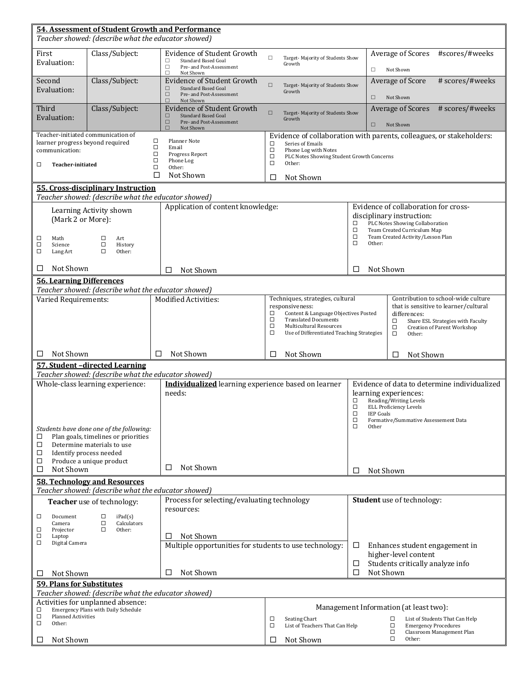|                                                                                                                                  |                                                                                         | 54. Assessment of Student Growth and Performance                   |                                                                                                 |                                  |                                                                         |  |  |
|----------------------------------------------------------------------------------------------------------------------------------|-----------------------------------------------------------------------------------------|--------------------------------------------------------------------|-------------------------------------------------------------------------------------------------|----------------------------------|-------------------------------------------------------------------------|--|--|
| Teacher showed: (describe what the educator showed)                                                                              |                                                                                         |                                                                    |                                                                                                 |                                  |                                                                         |  |  |
| First<br>Evaluation:                                                                                                             | Class/Subject:                                                                          | Evidence of Student Growth<br><b>Standard Based Goal</b><br>□      | $\Box$<br>Target- Majority of Students Show                                                     |                                  | #scores/#weeks<br>Average of Scores                                     |  |  |
|                                                                                                                                  |                                                                                         | $\Box$<br>Pre- and Post-Assessment<br>$\Box$<br>Not Shown          | Growth                                                                                          | $\Box$                           | Not Shown                                                               |  |  |
| Second                                                                                                                           | Class/Subject:                                                                          | Evidence of Student Growth<br>$\Box$<br><b>Standard Based Goal</b> | $\Box$<br>Target-Majority of Students Show                                                      |                                  | # scores/#weeks<br>Average of Score                                     |  |  |
| Evaluation:                                                                                                                      |                                                                                         | $\Box$<br>Pre- and Post-Assessment<br>$\Box$<br>Not Shown          | Growth                                                                                          | $\Box$                           | Not Shown                                                               |  |  |
| Third                                                                                                                            | Class/Subject:                                                                          | Evidence of Student Growth                                         | $\Box$<br>Target-Majority of Students Show                                                      |                                  | Average of Scores<br># scores/#weeks                                    |  |  |
| Evaluation:                                                                                                                      |                                                                                         | $\Box$<br>Pre- and Post-Assessment                                 | $\Box$<br><b>Standard Based Goal</b><br>Growth                                                  |                                  | Not Shown                                                               |  |  |
| Teacher-initiated communication of                                                                                               |                                                                                         | П<br>Not Shown                                                     |                                                                                                 |                                  | Evidence of collaboration with parents, colleagues, or stakeholders:    |  |  |
| learner progress beyond required<br>communication:                                                                               |                                                                                         | $\Box$<br>Planner Note<br>$\Box$<br>Email                          | □<br>Series of Emails<br>$\Box$<br>Phone Log with Notes                                         |                                  |                                                                         |  |  |
|                                                                                                                                  |                                                                                         | $\Box$<br>Progress Report<br>$\Box$<br>Phone Log                   | $\Box$<br>PLC Notes Showing Student Growth Concerns<br>$\Box$                                   |                                  |                                                                         |  |  |
| □<br>Teacher-initiated                                                                                                           |                                                                                         | $\Box$<br>Other:<br>П<br>Not Shown                                 | Other:                                                                                          |                                  |                                                                         |  |  |
|                                                                                                                                  | 55. Cross-disciplinary Instruction                                                      |                                                                    | Not Shown<br>□                                                                                  |                                  |                                                                         |  |  |
|                                                                                                                                  | Teacher showed: (describe what the educator showed)                                     |                                                                    |                                                                                                 |                                  |                                                                         |  |  |
| Learning Activity shown                                                                                                          |                                                                                         | Application of content knowledge:                                  |                                                                                                 |                                  | Evidence of collaboration for cross-                                    |  |  |
| (Mark 2 or More):                                                                                                                |                                                                                         |                                                                    |                                                                                                 |                                  | disciplinary instruction:<br>PLC Notes Showing Collaboration<br>□       |  |  |
| $\Box$<br>Math                                                                                                                   | □<br>Art                                                                                |                                                                    |                                                                                                 | $\Box$<br>$\Box$                 | Team Created Curriculum Map<br>Team Created Activity/Lesson Plan        |  |  |
| □<br>Science<br>$\Box$<br>Lang Art                                                                                               | $\Box$<br>History<br>$\Box$<br>Other:                                                   |                                                                    |                                                                                                 | $\Box$<br>Other:                 |                                                                         |  |  |
|                                                                                                                                  |                                                                                         |                                                                    |                                                                                                 |                                  |                                                                         |  |  |
| Not Shown<br>□                                                                                                                   |                                                                                         | Not Shown<br>П                                                     |                                                                                                 | Not Shown<br>П                   |                                                                         |  |  |
| <b>56. Learning Differences</b>                                                                                                  |                                                                                         |                                                                    |                                                                                                 |                                  |                                                                         |  |  |
| Varied Requirements:                                                                                                             | Teacher showed: (describe what the educator showed)                                     | Modified Activities:                                               | Techniques, strategies, cultural                                                                |                                  | Contribution to school-wide culture                                     |  |  |
|                                                                                                                                  |                                                                                         |                                                                    | responsiveness:                                                                                 |                                  | that is sensitive to learner/cultural                                   |  |  |
|                                                                                                                                  |                                                                                         |                                                                    | □<br>Content & Language Objectives Posted<br>$\Box$<br><b>Translated Documents</b>              |                                  | differences:<br>□<br>Share ESL Strategies with Faculty                  |  |  |
|                                                                                                                                  |                                                                                         |                                                                    | $\Box$<br><b>Multicultural Resources</b><br>$\Box$<br>Use of Differentiated Teaching Strategies |                                  | $\Box$<br><b>Creation of Parent Workshop</b><br>$\Box$<br>Other:        |  |  |
|                                                                                                                                  |                                                                                         |                                                                    |                                                                                                 |                                  |                                                                         |  |  |
| Not Shown<br>□                                                                                                                   |                                                                                         | Not Shown<br>□                                                     | Not Shown<br>□                                                                                  | Not Shown<br>□                   |                                                                         |  |  |
|                                                                                                                                  | 57. Student-directed Learning                                                           |                                                                    |                                                                                                 |                                  |                                                                         |  |  |
|                                                                                                                                  | Teacher showed: (describe what the educator showed)<br>Whole-class learning experience: | Individualized learning experience based on learner                |                                                                                                 |                                  | Evidence of data to determine individualized                            |  |  |
|                                                                                                                                  |                                                                                         | needs:                                                             |                                                                                                 |                                  | learning experiences:                                                   |  |  |
|                                                                                                                                  |                                                                                         |                                                                    |                                                                                                 |                                  | Reading/Writing Levels<br><b>ELL Proficiency Levels</b>                 |  |  |
|                                                                                                                                  |                                                                                         |                                                                    |                                                                                                 |                                  | $\Box$<br>$\Box$<br><b>IEP Goals</b>                                    |  |  |
|                                                                                                                                  | Students have done one of the following:                                                |                                                                    |                                                                                                 | $\Box$<br>$\Box$<br>Other        | Formative/Summative Assessement Data                                    |  |  |
| Plan goals, timelines or priorities<br>□                                                                                         |                                                                                         |                                                                    |                                                                                                 |                                  |                                                                         |  |  |
| $\Box$<br>Determine materials to use<br>Identify process needed<br>$\Box$                                                        |                                                                                         |                                                                    |                                                                                                 |                                  |                                                                         |  |  |
| $\Box$                                                                                                                           | Produce a unique product                                                                |                                                                    |                                                                                                 |                                  |                                                                         |  |  |
| □                                                                                                                                | Not Shown<br>п<br>Not Shown                                                             |                                                                    |                                                                                                 | Not Shown<br>П                   |                                                                         |  |  |
| <b>58. Technology and Resources</b>                                                                                              |                                                                                         |                                                                    |                                                                                                 |                                  |                                                                         |  |  |
| Teacher showed: (describe what the educator showed)<br>Process for selecting/evaluating technology<br>Teacher use of technology: |                                                                                         |                                                                    |                                                                                                 |                                  | Student use of technology:                                              |  |  |
|                                                                                                                                  |                                                                                         | resources:                                                         |                                                                                                 |                                  |                                                                         |  |  |
| $\Box$<br>Document<br>Camera                                                                                                     | iPad(s)<br>□<br>□<br>Calculators                                                        |                                                                    |                                                                                                 |                                  |                                                                         |  |  |
| □<br>Projector<br>□<br>Laptop                                                                                                    | $\Box$<br>Other:                                                                        | Not Shown<br>□                                                     |                                                                                                 |                                  |                                                                         |  |  |
| □<br>Digital Camera                                                                                                              |                                                                                         | Multiple opportunities for students to use technology:             |                                                                                                 | □                                | Enhances student engagement in                                          |  |  |
|                                                                                                                                  |                                                                                         |                                                                    |                                                                                                 |                                  | higher-level content                                                    |  |  |
| Not Shown<br>Not Shown<br>□<br>□                                                                                                 |                                                                                         |                                                                    | □<br>Not Shown<br>□                                                                             | Students critically analyze info |                                                                         |  |  |
| <b>59. Plans for Substitutes</b>                                                                                                 |                                                                                         |                                                                    |                                                                                                 |                                  |                                                                         |  |  |
|                                                                                                                                  | Teacher showed: (describe what the educator showed)                                     |                                                                    |                                                                                                 |                                  |                                                                         |  |  |
| □                                                                                                                                | Activities for unplanned absence:                                                       |                                                                    |                                                                                                 |                                  | Management Information (at least two):                                  |  |  |
| Emergency Plans with Daily Schedule<br>□<br><b>Planned Activities</b>                                                            |                                                                                         | Seating Chart<br>List of Students That Can Help<br>□<br>□          |                                                                                                 |                                  |                                                                         |  |  |
|                                                                                                                                  |                                                                                         |                                                                    |                                                                                                 |                                  |                                                                         |  |  |
| □<br>Other:                                                                                                                      |                                                                                         |                                                                    | List of Teachers That Can Help<br>□                                                             |                                  | $\Box$<br><b>Emergency Procedures</b><br>□<br>Classroom Management Plan |  |  |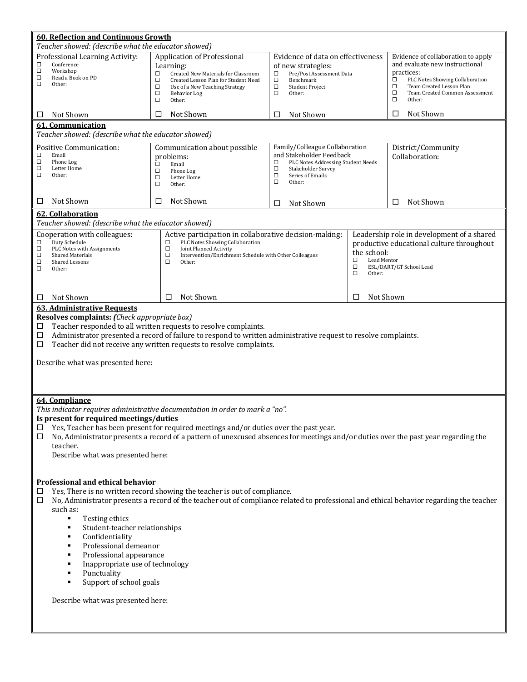| <b>60. Reflection and Continuous Growth</b><br>Teacher showed: (describe what the educator showed)                                                                                                                                                                                                                                                                                                                                                                                                                                                                  |                                                                                                                                                                                                                                    |                                                                                                                                                                                             |                                                          |                                                                                                                                                                                               |  |
|---------------------------------------------------------------------------------------------------------------------------------------------------------------------------------------------------------------------------------------------------------------------------------------------------------------------------------------------------------------------------------------------------------------------------------------------------------------------------------------------------------------------------------------------------------------------|------------------------------------------------------------------------------------------------------------------------------------------------------------------------------------------------------------------------------------|---------------------------------------------------------------------------------------------------------------------------------------------------------------------------------------------|----------------------------------------------------------|-----------------------------------------------------------------------------------------------------------------------------------------------------------------------------------------------|--|
| Professional Learning Activity:<br>□<br>Conference<br>$\Box$<br>Workshop<br>$\Box$<br>Read a Book on PD<br>$\Box$<br>Other:                                                                                                                                                                                                                                                                                                                                                                                                                                         | Application of Professional<br>Learning:<br>□<br>Created New Materials for Classroom<br>$\Box$<br>Created Lesson Plan for Student Need<br>□<br>Use of a New Teaching Strategy<br>$\Box$<br><b>Behavior Log</b><br>$\Box$<br>Other: | Evidence of data on effectiveness<br>of new strategies:<br>Pre/Post Assessment Data<br>□<br>$\Box$<br>□<br>Benchmark<br>□<br>$\Box$<br><b>Student Project</b><br>$\Box$<br>□<br>Other:<br>□ |                                                          | Evidence of collaboration to apply<br>and evaluate new instructional<br>practices:<br>PLC Notes Showing Collaboration<br>Team Created Lesson Plan<br>Team Created Common Assessment<br>Other: |  |
| Not Shown<br>□                                                                                                                                                                                                                                                                                                                                                                                                                                                                                                                                                      | Not Shown<br>□                                                                                                                                                                                                                     | Not Shown<br>□                                                                                                                                                                              |                                                          | Not Shown<br>□                                                                                                                                                                                |  |
| 61. Communication<br>Teacher showed: (describe what the educator showed)                                                                                                                                                                                                                                                                                                                                                                                                                                                                                            |                                                                                                                                                                                                                                    |                                                                                                                                                                                             |                                                          |                                                                                                                                                                                               |  |
| <b>Positive Communication:</b><br>□<br>Email<br>□<br>Phone Log<br>$\Box$<br>Letter Home<br>$\Box$<br>Other:                                                                                                                                                                                                                                                                                                                                                                                                                                                         | Communication about possible<br>problems:<br>$\Box$<br>Email<br>$\Box$<br>Phone Log<br>$\Box$<br>Letter Home<br>$\Box$<br>Other:                                                                                                   | Family/Colleague Collaboration<br>and Stakeholder Feedback<br>□<br>PLC Notes Addressing Student Needs<br>$\Box$<br>Stakeholder Survey<br>$\Box$<br>Series of Emails<br>$\Box$<br>Other:     |                                                          | District/Community<br>Collaboration:                                                                                                                                                          |  |
| Not Shown<br>□                                                                                                                                                                                                                                                                                                                                                                                                                                                                                                                                                      | □<br>Not Shown                                                                                                                                                                                                                     | Not Shown<br>□                                                                                                                                                                              |                                                          | Not Shown<br>□                                                                                                                                                                                |  |
| <b>62. Collaboration</b><br>Teacher showed: (describe what the educator showed)                                                                                                                                                                                                                                                                                                                                                                                                                                                                                     |                                                                                                                                                                                                                                    |                                                                                                                                                                                             |                                                          |                                                                                                                                                                                               |  |
| Cooperation with colleagues:<br>$\Box$<br>Duty Schedule<br>$\Box$<br>PLC Notes with Assignments<br>□<br><b>Shared Materials</b><br>□<br>Shared Lessons<br>$\Box$<br>Other:                                                                                                                                                                                                                                                                                                                                                                                          | Active participation in collaborative decision-making:<br>PLC Notes Showing Collaboration<br>□<br>□<br>Joint Planned Activity<br>О<br>Intervention/Enrichment Schedule with Other Colleagues<br>$\Box$<br>Other:                   |                                                                                                                                                                                             | the school:<br>О<br>Lead Mentor<br>$\Box$<br>□<br>Other: | Leadership role in development of a shared<br>productive educational culture throughout<br>ESL/DART/GT School Lead                                                                            |  |
| Not Shown<br>□                                                                                                                                                                                                                                                                                                                                                                                                                                                                                                                                                      | Not Shown<br>□                                                                                                                                                                                                                     | □                                                                                                                                                                                           |                                                          | Not Shown                                                                                                                                                                                     |  |
| <b>63. Administrative Requests</b><br>Resolves complaints: (Check appropriate box)<br>Teacher responded to all written requests to resolve complaints.<br>□<br>Administrator presented a record of failure to respond to written administrative request to resolve complaints.<br>□<br>$\Box$<br>Teacher did not receive any written requests to resolve complaints.<br>Describe what was presented here:                                                                                                                                                           |                                                                                                                                                                                                                                    |                                                                                                                                                                                             |                                                          |                                                                                                                                                                                               |  |
| 64. Compliance<br>This indicator requires administrative documentation in order to mark a "no".<br>Is present for required meetings/duties<br>Yes, Teacher has been present for required meetings and/or duties over the past year.<br>$\Box$<br>No, Administrator presents a record of a pattern of unexcused absences for meetings and/or duties over the past year regarding the<br>$\Box$<br>teacher.<br>Describe what was presented here:                                                                                                                      |                                                                                                                                                                                                                                    |                                                                                                                                                                                             |                                                          |                                                                                                                                                                                               |  |
| Professional and ethical behavior<br>Yes, There is no written record showing the teacher is out of compliance.<br>□<br>No, Administrator presents a record of the teacher out of compliance related to professional and ethical behavior regarding the teacher<br>□<br>such as:<br>٠<br>Testing ethics<br>Student-teacher relationships<br>٠<br>Confidentiality<br>٠<br>Professional demeanor<br>٠<br>Professional appearance<br>٠<br>Inappropriate use of technology<br>٠<br>Punctuality<br>٠<br>Support of school goals<br>٠<br>Describe what was presented here: |                                                                                                                                                                                                                                    |                                                                                                                                                                                             |                                                          |                                                                                                                                                                                               |  |